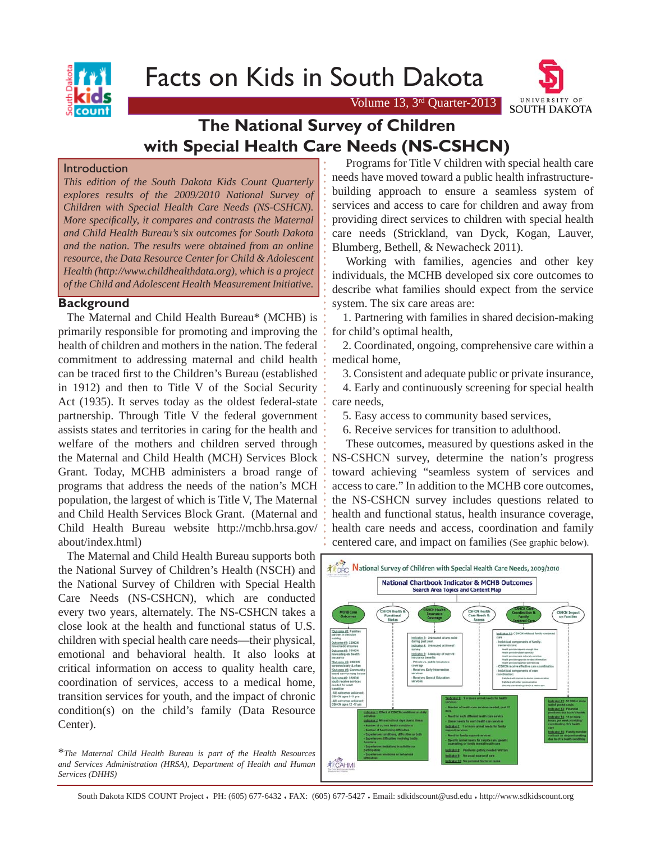Facts on Kids in South Dakota



Volume 13,  $3<sup>rd</sup>$  Quarter-2013

# **The National Survey of Children with Special Health Care Needs (NS-CSHCN)**

#### Introduction

*This edition of the South Dakota Kids Count Quarterly explores results of the 2009/2010 National Survey of Children with Special Health Care Needs (NS-CSHCN). More specifi cally, it compares and contrasts the Maternal and Child Health Bureau's six outcomes for South Dakota and the nation. The results were obtained from an online resource, the Data Resource Center for Child & Adolescent Health (http://www.childhealthdata.org), which is a project of the Child and Adolescent Health Measurement Initiative.*

## **Background**

 The Maternal and Child Health Bureau\* (MCHB) is primarily responsible for promoting and improving the health of children and mothers in the nation. The federal commitment to addressing maternal and child health can be traced first to the Children's Bureau (established in 1912) and then to Title V of the Social Security Act (1935). It serves today as the oldest federal-state partnership. Through Title V the federal government assists states and territories in caring for the health and welfare of the mothers and children served through the Maternal and Child Health (MCH) Services Block Grant. Today, MCHB administers a broad range of programs that address the needs of the nation's MCH population, the largest of which is Title V, The Maternal and Child Health Services Block Grant. (Maternal and Child Health Bureau website http://mchb.hrsa.gov/ about/index.html)

 The Maternal and Child Health Bureau supports both the National Survey of Children's Health (NSCH) and the National Survey of Children with Special Health Care Needs (NS-CSHCN), which are conducted every two years, alternately. The NS-CSHCN takes a close look at the health and functional status of U.S. children with special health care needs—their physical, emotional and behavioral health. It also looks at critical information on access to quality health care, coordination of services, access to a medical home, transition services for youth, and the impact of chronic condition(s) on the child's family (Data Resource Center).

\**The Maternal Child Health Bureau is part of the Health Resources and Services Administration (HRSA), Department of Health and Human Services (DHHS)* 

 Programs for Title V children with special health care needs have moved toward a public health infrastructurebuilding approach to ensure a seamless system of services and access to care for children and away from providing direct services to children with special health care needs (Strickland, van Dyck, Kogan, Lauver, Blumberg, Bethell, & Newacheck 2011).

 Working with families, agencies and other key individuals, the MCHB developed six core outcomes to describe what families should expect from the service system. The six care areas are:

 1. Partnering with families in shared decision-making for child's optimal health,

 2. Coordinated, ongoing, comprehensive care within a medical home,

3. Consistent and adequate public or private insurance,

 4. Early and continuously screening for special health care needs,

5. Easy access to community based services,

6. Receive services for transition to adulthood.

 These outcomes, measured by questions asked in the NS-CSHCN survey, determine the nation's progress toward achieving "seamless system of services and access to care." In addition to the MCHB core outcomes, the NS-CSHCN survey includes questions related to health and functional status, health insurance coverage, health care needs and access, coordination and family centered care, and impact on families (See graphic below).



South Dakota KIDS COUNT Project . PH: (605) 677-6432 . FAX: (605) 677-5427 . Email: sdkidscount@usd.edu . http://www.sdkidscount.org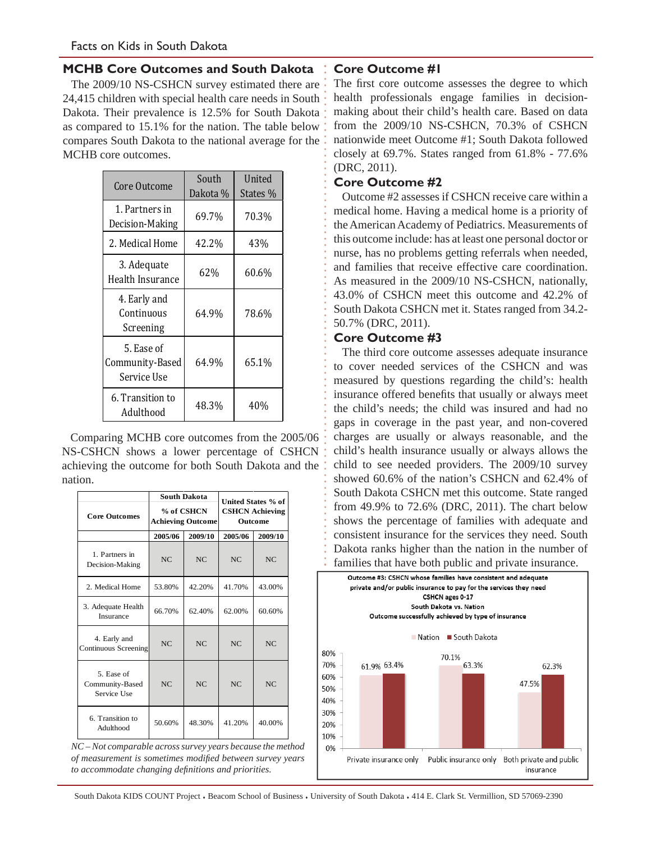# **MCHB Core Outcomes and South Dakota**

The 2009/10 NS-CSHCN survey estimated there are 24,415 children with special health care needs in South Dakota. Their prevalence is 12.5% for South Dakota as compared to 15.1% for the nation. The table below compares South Dakota to the national average for the MCHB core outcomes.

| Core Outcome                                 | South<br>Dakota % | United<br>States % |  |
|----------------------------------------------|-------------------|--------------------|--|
| 1. Partners in<br>Decision-Making            | 69.7%             | 70.3%              |  |
| 2. Medical Home                              | 42.2%             | 43%                |  |
| 3. Adequate<br>Health Insurance              | 62%               | 60.6%              |  |
| 4. Early and<br>Continuous<br>Screening      | 64.9%             | 78.6%              |  |
| 5. Ease of<br>Community-Based<br>Service Use | 64.9%             | 65.1%              |  |
| 6. Transition to<br>Adulthood                | 48.3%             | 40%                |  |

Comparing MCHB core outcomes from the 2005/06 NS-CSHCN shows a lower percentage of CSHCN achieving the outcome for both South Dakota and the nation.

| <b>Core Outcomes</b>                         | <b>South Dakota</b><br>% of CSHCN<br><b>Achieving Outcome</b> |         | United States % of<br><b>CSHCN Achieving</b><br><b>Outcome</b> |         |
|----------------------------------------------|---------------------------------------------------------------|---------|----------------------------------------------------------------|---------|
|                                              | 2005/06                                                       | 2009/10 | 2005/06                                                        | 2009/10 |
| 1. Partners in<br>Decision-Making            | NC                                                            | NC      | NC                                                             | NC      |
| 2. Medical Home                              | 53.80%                                                        | 42.20%  | 41.70%                                                         | 43.00%  |
| 3. Adequate Health<br>Insurance              | 66.70%                                                        | 62.40%  | 62.00%                                                         | 60.60%  |
| 4. Early and<br><b>Continuous Screening</b>  | NC                                                            | NC      | NC                                                             | NC      |
| 5. Ease of<br>Community-Based<br>Service Use | NC                                                            | NC      | NC                                                             | NC      |
| 6. Transition to<br>Adulthood                | 50.60%                                                        | 48.30%  | 41.20%                                                         | 40.00%  |

*NC – Not comparable across survey years because the method of measurement is sometimes modifi ed between survey years to accommodate changing defi nitions and priorities.*

# **Core Outcome #1**

The first core outcome assesses the degree to which health professionals engage families in decisionmaking about their child's health care. Based on data from the 2009/10 NS-CSHCN, 70.3% of CSHCN nationwide meet Outcome #1; South Dakota followed closely at 69.7%. States ranged from 61.8% - 77.6% (DRC, 2011).

## **Core Outcome #2**

 Outcome #2 assesses if CSHCN receive care within a medical home. Having a medical home is a priority of the American Academy of Pediatrics. Measurements of this outcome include: has at least one personal doctor or nurse, has no problems getting referrals when needed, and families that receive effective care coordination. As measured in the 2009/10 NS-CSHCN, nationally, 43.0% of CSHCN meet this outcome and 42.2% of South Dakota CSHCN met it. States ranged from 34.2- 50.7% (DRC, 2011).

# **Core Outcome #3**

 The third core outcome assesses adequate insurance to cover needed services of the CSHCN and was measured by questions regarding the child's: health insurance offered benefits that usually or always meet the child's needs; the child was insured and had no gaps in coverage in the past year, and non-covered charges are usually or always reasonable, and the child's health insurance usually or always allows the child to see needed providers. The 2009/10 survey showed 60.6% of the nation's CSHCN and 62.4% of South Dakota CSHCN met this outcome. State ranged from 49.9% to 72.6% (DRC, 2011). The chart below shows the percentage of families with adequate and consistent insurance for the services they need. South Dakota ranks higher than the nation in the number of families that have both public and private insurance.



South Dakota KIDS COUNT Project . Beacom School of Business . University of South Dakota . 414 E. Clark St. Vermillion, SD 57069-2390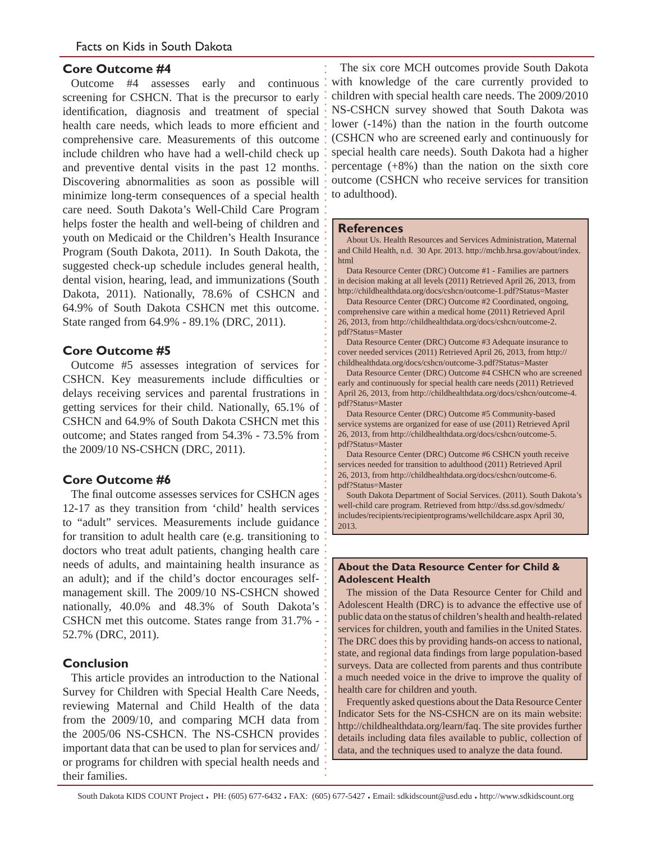#### **Core Outcome #4**

 Outcome #4 assesses early and continuous screening for CSHCN. That is the precursor to early identification, diagnosis and treatment of special health care needs, which leads to more efficient and comprehensive care. Measurements of this outcome include children who have had a well-child check up and preventive dental visits in the past 12 months. Discovering abnormalities as soon as possible will minimize long-term consequences of a special health care need. South Dakota's Well-Child Care Program helps foster the health and well-being of children and youth on Medicaid or the Children's Health Insurance Program (South Dakota, 2011). In South Dakota, the suggested check-up schedule includes general health, dental vision, hearing, lead, and immunizations (South Dakota, 2011). Nationally, 78.6% of CSHCN and 64.9% of South Dakota CSHCN met this outcome. State ranged from 64.9% - 89.1% (DRC, 2011).

# **Core Outcome #5**

 Outcome #5 assesses integration of services for CSHCN. Key measurements include difficulties or delays receiving services and parental frustrations in getting services for their child. Nationally, 65.1% of CSHCN and 64.9% of South Dakota CSHCN met this outcome; and States ranged from 54.3% - 73.5% from the 2009/10 NS-CSHCN (DRC, 2011).

# **Core Outcome #6**

The final outcome assesses services for CSHCN ages 12-17 as they transition from 'child' health services to "adult" services. Measurements include guidance for transition to adult health care (e.g. transitioning to doctors who treat adult patients, changing health care needs of adults, and maintaining health insurance as an adult); and if the child's doctor encourages selfmanagement skill. The 2009/10 NS-CSHCN showed nationally, 40.0% and 48.3% of South Dakota's CSHCN met this outcome. States range from 31.7% - 52.7% (DRC, 2011).

## **Conclusion**

 This article provides an introduction to the National Survey for Children with Special Health Care Needs, reviewing Maternal and Child Health of the data from the 2009/10, and comparing MCH data from the 2005/06 NS-CSHCN. The NS-CSHCN provides important data that can be used to plan for services and/ or programs for children with special health needs and their families.

 The six core MCH outcomes provide South Dakota with knowledge of the care currently provided to children with special health care needs. The 2009/2010 NS-CSHCN survey showed that South Dakota was lower (-14%) than the nation in the fourth outcome (CSHCN who are screened early and continuously for special health care needs). South Dakota had a higher percentage  $(+8\%)$  than the nation on the sixth core outcome (CSHCN who receive services for transition to adulthood).

#### **References**

 About Us. Health Resources and Services Administration, Maternal and Child Health, n.d. 30 Apr. 2013. http://mchb.hrsa.gov/about/index. html

 Data Resource Center (DRC) Outcome #1 - Families are partners in decision making at all levels (2011) Retrieved April 26, 2013, from http://childhealthdata.org/docs/cshcn/outcome-1.pdf?Status=Master

 Data Resource Center (DRC) Outcome #2 Coordinated, ongoing, comprehensive care within a medical home (2011) Retrieved April 26, 2013, from http://childhealthdata.org/docs/cshcn/outcome-2. pdf?Status=Master

 Data Resource Center (DRC) Outcome #3 Adequate insurance to cover needed services (2011) Retrieved April 26, 2013, from http:// childhealthdata.org/docs/cshcn/outcome-3.pdf?Status=Master

 Data Resource Center (DRC) Outcome #4 CSHCN who are screened early and continuously for special health care needs (2011) Retrieved April 26, 2013, from http://childhealthdata.org/docs/cshcn/outcome-4. pdf?Status=Master

 Data Resource Center (DRC) Outcome #5 Community-based service systems are organized for ease of use (2011) Retrieved April 26, 2013, from http://childhealthdata.org/docs/cshcn/outcome-5. pdf?Status=Master

 Data Resource Center (DRC) Outcome #6 CSHCN youth receive services needed for transition to adulthood (2011) Retrieved April 26, 2013, from http://childhealthdata.org/docs/cshcn/outcome-6. pdf?Status=Master

 South Dakota Department of Social Services. (2011). South Dakota's well-child care program. Retrieved from http://dss.sd.gov/sdmedx/ includes/recipients/recipientprograms/wellchildcare.aspx April 30, 2013.

#### **About the Data Resource Center for Child & Adolescent Health**

The mission of the Data Resource Center for Child and Adolescent Health (DRC) is to advance the effective use of public data on the status of children's health and health-related services for children, youth and families in the United States. The DRC does this by providing hands-on access to national, state, and regional data findings from large population-based surveys. Data are collected from parents and thus contribute a much needed voice in the drive to improve the quality of health care for children and youth.

 Frequently asked questions about the Data Resource Center Indicator Sets for the NS-CSHCN are on its main website: http://childhealthdata.org/learn/faq. The site provides further details including data files available to public, collection of data, and the techniques used to analyze the data found.

South Dakota KIDS COUNT Project . PH: (605) 677-6432 . FAX: (605) 677-5427 . Email: sdkidscount@usd.edu . http://www.sdkidscount.org